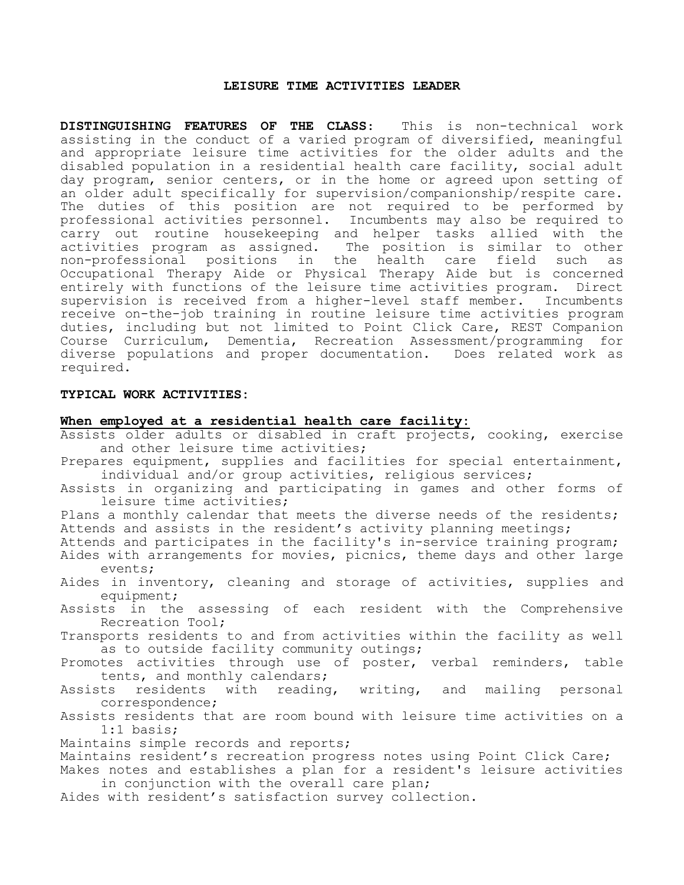#### **LEISURE TIME ACTIVITIES LEADER**

**DISTINGUISHING FEATURES OF THE CLASS**: This is non-technical work assisting in the conduct of a varied program of diversified, meaningful and appropriate leisure time activities for the older adults and the disabled population in a residential health care facility, social adult day program, senior centers, or in the home or agreed upon setting of an older adult specifically for supervision/companionship/respite care. The duties of this position are not required to be performed by professional activities personnel. Incumbents may also be required to carry out routine housekeeping and helper tasks allied with the<br>activities program as assigned. The position is similar to other The position is similar to other<br>the health care field such as non-professional positions in the health care field such as Occupational Therapy Aide or Physical Therapy Aide but is concerned entirely with functions of the leisure time activities program. Direct supervision is received from a higher-level staff member. Incumbents receive on-the-job training in routine leisure time activities program duties, including but not limited to Point Click Care, REST Companion Course Curriculum, Dementia, Recreation Assessment/programming for diverse populations and proper documentation. Does related work as required.

## **TYPICAL WORK ACTIVITIES:**

#### **When employed at a residential health care facility:**

- Assists older adults or disabled in craft projects, cooking, exercise and other leisure time activities;
- Prepares equipment, supplies and facilities for special entertainment, individual and/or group activities, religious services;
- Assists in organizing and participating in games and other forms of leisure time activities;
- Plans a monthly calendar that meets the diverse needs of the residents; Attends and assists in the resident's activity planning meetings;
- Attends and participates in the facility's in-service training program;
- Aides with arrangements for movies, picnics, theme days and other large events;
- Aides in inventory, cleaning and storage of activities, supplies and equipment;
- Assists in the assessing of each resident with the Comprehensive Recreation Tool;
- Transports residents to and from activities within the facility as well as to outside facility community outings;
- Promotes activities through use of poster, verbal reminders, table tents, and monthly calendars;
- Assists residents with reading, writing, and mailing personal correspondence;
- Assists residents that are room bound with leisure time activities on a 1:1 basis;
- Maintains simple records and reports;
- Maintains resident's recreation progress notes using Point Click Care; Makes notes and establishes a plan for a resident's leisure activities
- in conjunction with the overall care plan;
- Aides with resident's satisfaction survey collection.